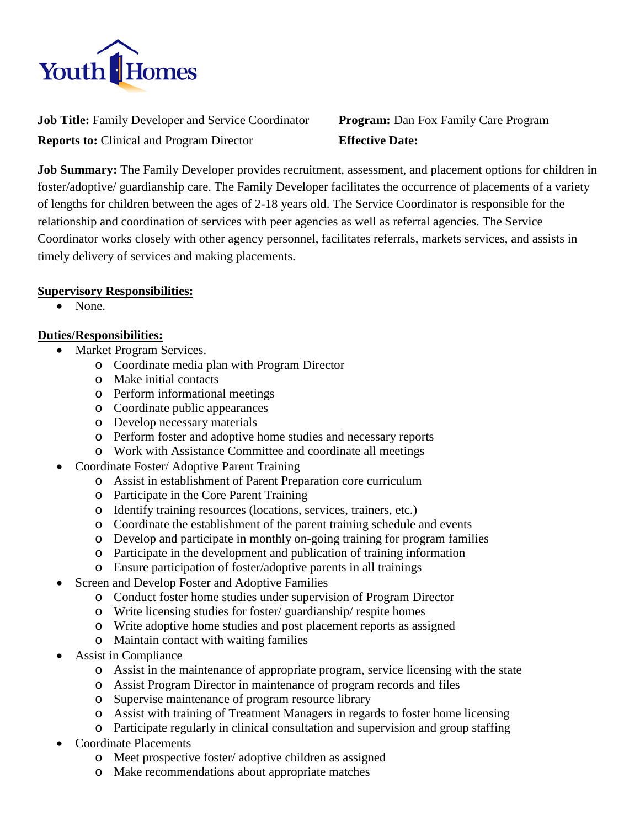

**Job Title:** Family Developer and Service Coordinator **Program:** Dan Fox Family Care Program **Reports to:** Clinical and Program Director **Effective Date:**

**Job Summary:** The Family Developer provides recruitment, assessment, and placement options for children in foster/adoptive/ guardianship care. The Family Developer facilitates the occurrence of placements of a variety of lengths for children between the ages of 2-18 years old. The Service Coordinator is responsible for the relationship and coordination of services with peer agencies as well as referral agencies. The Service Coordinator works closely with other agency personnel, facilitates referrals, markets services, and assists in timely delivery of services and making placements.

### **Supervisory Responsibilities:**

• None.

# **Duties/Responsibilities:**

- Market Program Services.
	- o Coordinate media plan with Program Director
	- o Make initial contacts
	- o Perform informational meetings
	- o Coordinate public appearances
	- o Develop necessary materials
	- o Perform foster and adoptive home studies and necessary reports
	- o Work with Assistance Committee and coordinate all meetings
- Coordinate Foster/ Adoptive Parent Training
	- o Assist in establishment of Parent Preparation core curriculum
	- o Participate in the Core Parent Training
	- o Identify training resources (locations, services, trainers, etc.)
	- o Coordinate the establishment of the parent training schedule and events
	- o Develop and participate in monthly on-going training for program families
	- o Participate in the development and publication of training information
	- o Ensure participation of foster/adoptive parents in all trainings
- Screen and Develop Foster and Adoptive Families
	- o Conduct foster home studies under supervision of Program Director
	- o Write licensing studies for foster/ guardianship/ respite homes
	- o Write adoptive home studies and post placement reports as assigned
	- o Maintain contact with waiting families
- Assist in Compliance
	- o Assist in the maintenance of appropriate program, service licensing with the state
	- o Assist Program Director in maintenance of program records and files
	- o Supervise maintenance of program resource library
	- o Assist with training of Treatment Managers in regards to foster home licensing
	- o Participate regularly in clinical consultation and supervision and group staffing
- Coordinate Placements
	- o Meet prospective foster/ adoptive children as assigned
	- o Make recommendations about appropriate matches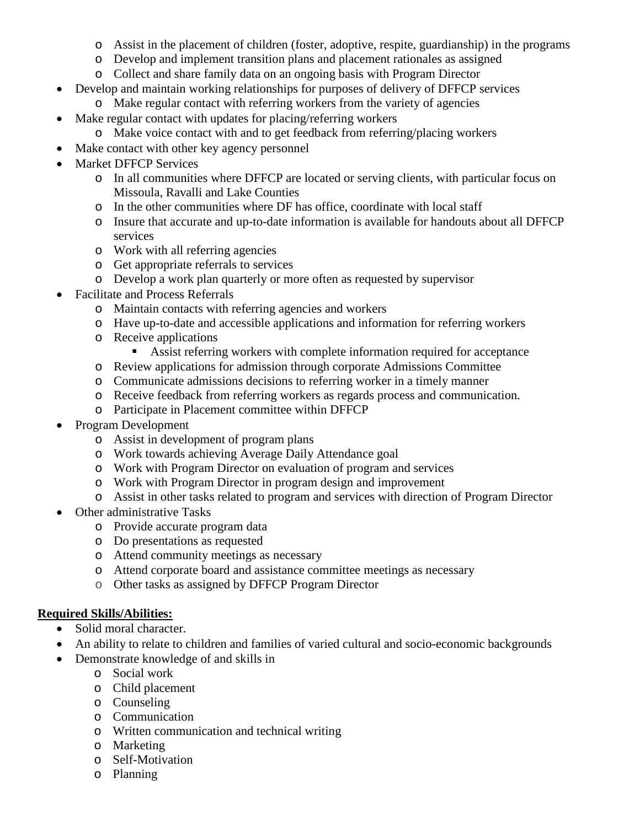- o Assist in the placement of children (foster, adoptive, respite, guardianship) in the programs
- o Develop and implement transition plans and placement rationales as assigned
- o Collect and share family data on an ongoing basis with Program Director
- Develop and maintain working relationships for purposes of delivery of DFFCP services
	- o Make regular contact with referring workers from the variety of agencies
- Make regular contact with updates for placing/referring workers
- o Make voice contact with and to get feedback from referring/placing workers
- Make contact with other key agency personnel
- **Market DFFCP Services** 
	- o In all communities where DFFCP are located or serving clients, with particular focus on Missoula, Ravalli and Lake Counties
	- o In the other communities where DF has office, coordinate with local staff
	- o Insure that accurate and up-to-date information is available for handouts about all DFFCP services
	- o Work with all referring agencies
	- o Get appropriate referrals to services
	- o Develop a work plan quarterly or more often as requested by supervisor
- Facilitate and Process Referrals
	- o Maintain contacts with referring agencies and workers
	- o Have up-to-date and accessible applications and information for referring workers
	- o Receive applications
		- Assist referring workers with complete information required for acceptance
	- o Review applications for admission through corporate Admissions Committee
	- o Communicate admissions decisions to referring worker in a timely manner
	- o Receive feedback from referring workers as regards process and communication.
	- o Participate in Placement committee within DFFCP
- Program Development
	- o Assist in development of program plans
	- o Work towards achieving Average Daily Attendance goal
	- o Work with Program Director on evaluation of program and services
	- o Work with Program Director in program design and improvement
	- o Assist in other tasks related to program and services with direction of Program Director
- Other administrative Tasks
	- o Provide accurate program data
	- o Do presentations as requested
	- o Attend community meetings as necessary
	- o Attend corporate board and assistance committee meetings as necessary
	- o Other tasks as assigned by DFFCP Program Director

## **Required Skills/Abilities:**

- Solid moral character.
- An ability to relate to children and families of varied cultural and socio-economic backgrounds
- Demonstrate knowledge of and skills in
	- o Social work
	- o Child placement
	- o Counseling
	- o Communication
	- o Written communication and technical writing
	- o Marketing
	- o Self-Motivation
	- o Planning